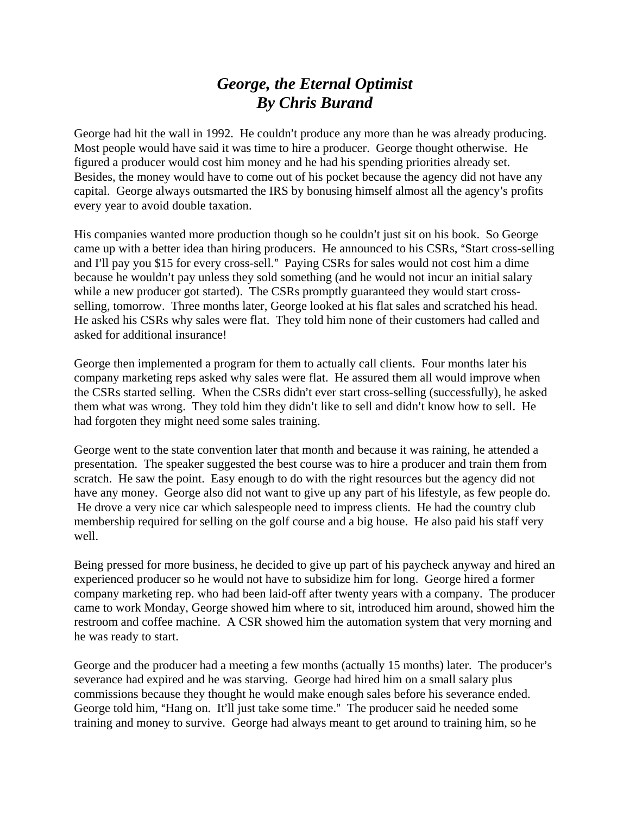## *George, the Eternal Optimist By Chris Burand*

George had hit the wall in 1992. He couldn't produce any more than he was already producing. Most people would have said it was time to hire a producer. George thought otherwise. He figured a producer would cost him money and he had his spending priorities already set. Besides, the money would have to come out of his pocket because the agency did not have any capital. George always outsmarted the IRS by bonusing himself almost all the agency's profits every year to avoid double taxation.

His companies wanted more production though so he couldn't just sit on his book. So George came up with a better idea than hiring producers. He announced to his CSRs, "Start cross-selling and I'll pay you \$15 for every cross-sell." Paying CSRs for sales would not cost him a dime because he wouldn't pay unless they sold something (and he would not incur an initial salary while a new producer got started). The CSRs promptly guaranteed they would start crossselling, tomorrow. Three months later, George looked at his flat sales and scratched his head. He asked his CSRs why sales were flat. They told him none of their customers had called and asked for additional insurance!

George then implemented a program for them to actually call clients. Four months later his company marketing reps asked why sales were flat. He assured them all would improve when the CSRs started selling. When the CSRs didn't ever start cross-selling (successfully), he asked them what was wrong. They told him they didn't like to sell and didn't know how to sell. He had forgoten they might need some sales training.

George went to the state convention later that month and because it was raining, he attended a presentation. The speaker suggested the best course was to hire a producer and train them from scratch. He saw the point. Easy enough to do with the right resources but the agency did not have any money. George also did not want to give up any part of his lifestyle, as few people do. He drove a very nice car which salespeople need to impress clients. He had the country club membership required for selling on the golf course and a big house. He also paid his staff very well.

Being pressed for more business, he decided to give up part of his paycheck anyway and hired an experienced producer so he would not have to subsidize him for long. George hired a former company marketing rep. who had been laid-off after twenty years with a company. The producer came to work Monday, George showed him where to sit, introduced him around, showed him the restroom and coffee machine. A CSR showed him the automation system that very morning and he was ready to start.

George and the producer had a meeting a few months (actually 15 months) later. The producer's severance had expired and he was starving. George had hired him on a small salary plus commissions because they thought he would make enough sales before his severance ended. George told him, "Hang on. It'll just take some time." The producer said he needed some training and money to survive. George had always meant to get around to training him, so he